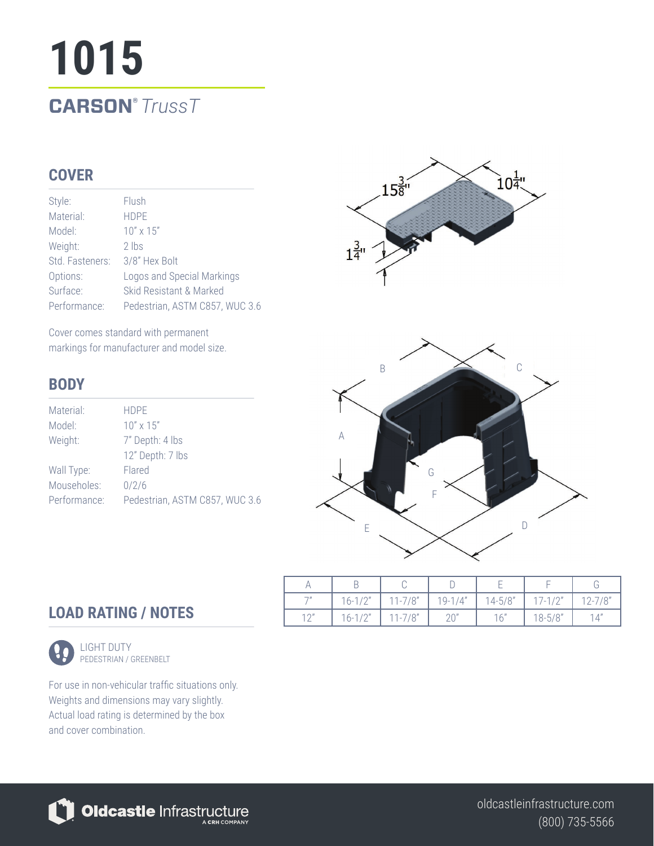# **1015 CARSON®** *TrussT*

### **COVER**

| Style:          | Flush                          |
|-----------------|--------------------------------|
| Material:       | <b>HDPF</b>                    |
| Model:          | $10'' \times 15''$             |
| Weight:         | $2$ lbs                        |
| Std. Fasteners: | 3/8" Hex Bolt                  |
| Options:        | Logos and Special Markings     |
| Surface:        | Skid Resistant & Marked        |
| Performance:    | Pedestrian, ASTM C857, WUC 3.6 |

Cover comes standard with permanent markings for manufacturer and model size.

#### **BODY**

| Material:    | <b>HDPF</b>                    |  |  |  |  |
|--------------|--------------------------------|--|--|--|--|
| Model:       | $10'' \times 15''$             |  |  |  |  |
| Weight:      | 7" Depth: 4 lbs                |  |  |  |  |
|              | 12" Depth: 7 lbs               |  |  |  |  |
| Wall Type:   | Flared                         |  |  |  |  |
| Mouseholes:  | 0/2/6                          |  |  |  |  |
| Performance: | Pedestrian, ASTM C857, WUC 3.6 |  |  |  |  |



| $\neg n$     | $16 - 1/2"$ | $11 - 7/8"$ | $19 - 1/4"$ | $14 - 5/8$ | $17-1/2"$  | $12 - 7/8"$ |
|--------------|-------------|-------------|-------------|------------|------------|-------------|
| $1^{\prime}$ | $16 - 1/2"$ | $11 - 7/8"$ |             | 16"        | $18 - 5/8$ | 14"         |

### **LOAD RATING / NOTES**



LIGHT DUTY PEDESTRIAN / GREENBELT

For use in non-vehicular traffic situations only. Weights and dimensions may vary slightly. Actual load rating is determined by the box and cover combination.



(800) 735-5566 oldcastleinfrastructure.com